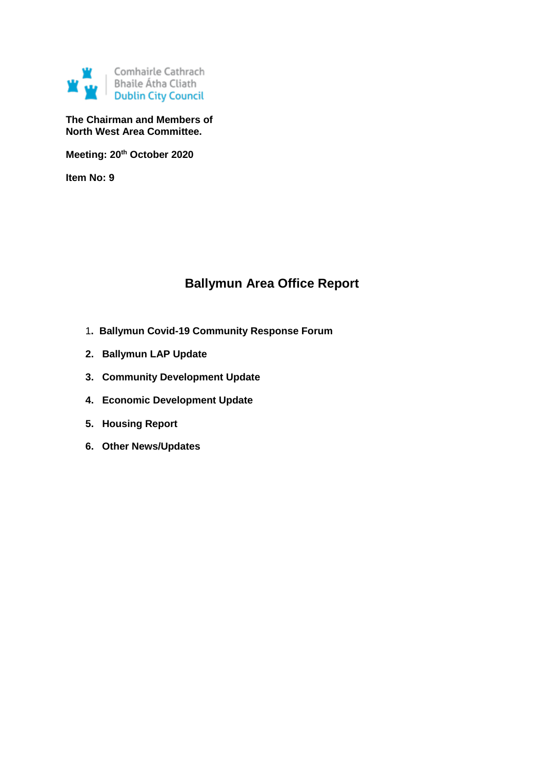

**The Chairman and Members of North West Area Committee.**

**Meeting: 20th October 2020**

**Item No: 9**

# **Ballymun Area Office Report**

- 1**. Ballymun Covid-19 Community Response Forum**
- **2. Ballymun LAP Update**
- **3. Community Development Update**
- **4. Economic Development Update**
- **5. Housing Report**
- **6. Other News/Updates**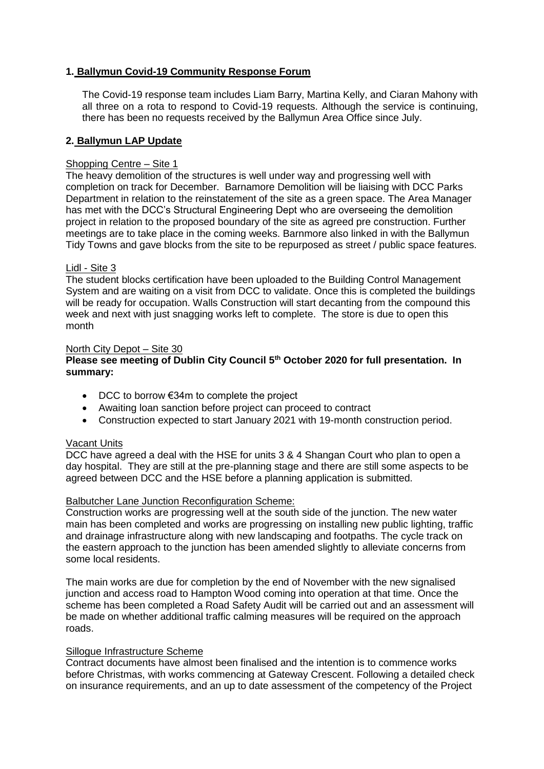## **1. Ballymun Covid-19 Community Response Forum**

The Covid-19 response team includes Liam Barry, Martina Kelly, and Ciaran Mahony with all three on a rota to respond to Covid-19 requests. Although the service is continuing, there has been no requests received by the Ballymun Area Office since July.

### **2. Ballymun LAP Update**

## Shopping Centre – Site 1

The heavy demolition of the structures is well under way and progressing well with completion on track for December. Barnamore Demolition will be liaising with DCC Parks Department in relation to the reinstatement of the site as a green space. The Area Manager has met with the DCC's Structural Engineering Dept who are overseeing the demolition project in relation to the proposed boundary of the site as agreed pre construction. Further meetings are to take place in the coming weeks. Barnmore also linked in with the Ballymun Tidy Towns and gave blocks from the site to be repurposed as street / public space features.

#### Lidl - Site 3

The student blocks certification have been uploaded to the Building Control Management System and are waiting on a visit from DCC to validate. Once this is completed the buildings will be ready for occupation. Walls Construction will start decanting from the compound this week and next with just snagging works left to complete. The store is due to open this month

#### North City Depot – Site 30

## **Please see meeting of Dublin City Council 5th October 2020 for full presentation. In summary:**

- DCC to borrow €34m to complete the project
- Awaiting loan sanction before project can proceed to contract
- Construction expected to start January 2021 with 19-month construction period.

## Vacant Units

DCC have agreed a deal with the HSE for units 3 & 4 Shangan Court who plan to open a day hospital. They are still at the pre-planning stage and there are still some aspects to be agreed between DCC and the HSE before a planning application is submitted.

## Balbutcher Lane Junction Reconfiguration Scheme:

Construction works are progressing well at the south side of the junction. The new water main has been completed and works are progressing on installing new public lighting, traffic and drainage infrastructure along with new landscaping and footpaths. The cycle track on the eastern approach to the junction has been amended slightly to alleviate concerns from some local residents.

The main works are due for completion by the end of November with the new signalised junction and access road to Hampton Wood coming into operation at that time. Once the scheme has been completed a Road Safety Audit will be carried out and an assessment will be made on whether additional traffic calming measures will be required on the approach roads.

# Sillogue Infrastructure Scheme

Contract documents have almost been finalised and the intention is to commence works before Christmas, with works commencing at Gateway Crescent. Following a detailed check on insurance requirements, and an up to date assessment of the competency of the Project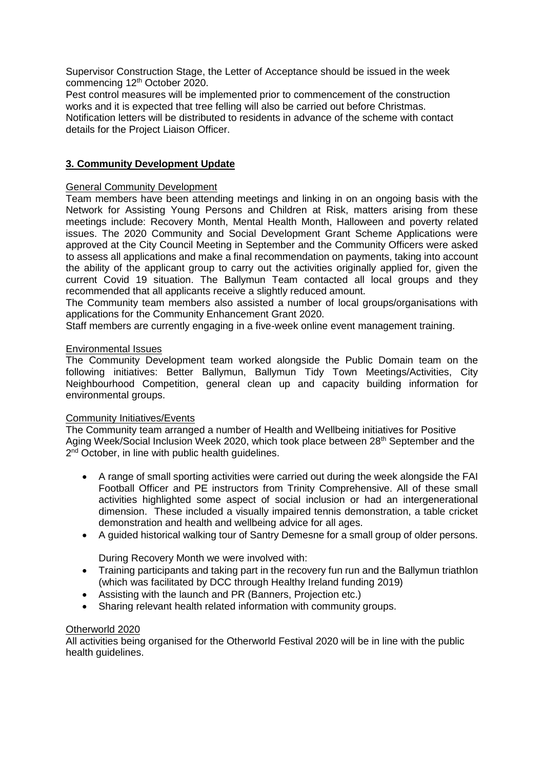Supervisor Construction Stage, the Letter of Acceptance should be issued in the week commencing 12<sup>th</sup> October 2020.

Pest control measures will be implemented prior to commencement of the construction works and it is expected that tree felling will also be carried out before Christmas. Notification letters will be distributed to residents in advance of the scheme with contact details for the Project Liaison Officer.

# **3. Community Development Update**

## General Community Development

Team members have been attending meetings and linking in on an ongoing basis with the Network for Assisting Young Persons and Children at Risk, matters arising from these meetings include: Recovery Month, Mental Health Month, Halloween and poverty related issues. The 2020 Community and Social Development Grant Scheme Applications were approved at the City Council Meeting in September and the Community Officers were asked to assess all applications and make a final recommendation on payments, taking into account the ability of the applicant group to carry out the activities originally applied for, given the current Covid 19 situation. The Ballymun Team contacted all local groups and they recommended that all applicants receive a slightly reduced amount.

The Community team members also assisted a number of local groups/organisations with applications for the Community Enhancement Grant 2020.

Staff members are currently engaging in a five-week online event management training.

#### Environmental Issues

The Community Development team worked alongside the Public Domain team on the following initiatives: Better Ballymun, Ballymun Tidy Town Meetings/Activities, City Neighbourhood Competition, general clean up and capacity building information for environmental groups.

## Community Initiatives/Events

The Community team arranged a number of Health and Wellbeing initiatives for Positive Aging Week/Social Inclusion Week 2020, which took place between 28<sup>th</sup> September and the 2<sup>nd</sup> October, in line with public health guidelines.

- A range of small sporting activities were carried out during the week alongside the FAI Football Officer and PE instructors from Trinity Comprehensive. All of these small activities highlighted some aspect of social inclusion or had an intergenerational dimension. These included a visually impaired tennis demonstration, a table cricket demonstration and health and wellbeing advice for all ages.
- A guided historical walking tour of Santry Demesne for a small group of older persons.

During Recovery Month we were involved with:

- Training participants and taking part in the recovery fun run and the Ballymun triathlon (which was facilitated by DCC through Healthy Ireland funding 2019)
- Assisting with the launch and PR (Banners, Projection etc.)
- Sharing relevant health related information with community groups.

## Otherworld 2020

All activities being organised for the Otherworld Festival 2020 will be in line with the public health guidelines.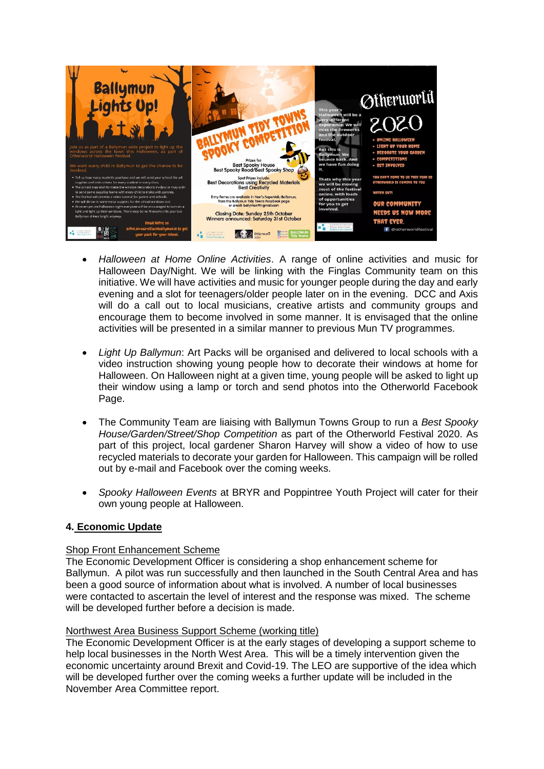

- *Halloween at Home Online Activities*. A range of online activities and music for Halloween Day/Night. We will be linking with the Finglas Community team on this initiative. We will have activities and music for younger people during the day and early evening and a slot for teenagers/older people later on in the evening. DCC and Axis will do a call out to local musicians, creative artists and community groups and encourage them to become involved in some manner. It is envisaged that the online activities will be presented in a similar manner to previous Mun TV programmes.
- *Light Up Ballymun*: Art Packs will be organised and delivered to local schools with a video instruction showing young people how to decorate their windows at home for Halloween. On Halloween night at a given time, young people will be asked to light up their window using a lamp or torch and send photos into the Otherworld Facebook Page.
- The Community Team are liaising with Ballymun Towns Group to run a *Best Spooky House/Garden/Street/Shop Competition* as part of the Otherworld Festival 2020. As part of this project, local gardener Sharon Harvey will show a video of how to use recycled materials to decorate your garden for Halloween. This campaign will be rolled out by e-mail and Facebook over the coming weeks.
- *Spooky Halloween Events* at BRYR and Poppintree Youth Project will cater for their own young people at Halloween.

## **4. Economic Update**

## Shop Front Enhancement Scheme

The Economic Development Officer is considering a shop enhancement scheme for Ballymun. A pilot was run successfully and then launched in the South Central Area and has been a good source of information about what is involved. A number of local businesses were contacted to ascertain the level of interest and the response was mixed. The scheme will be developed further before a decision is made.

## Northwest Area Business Support Scheme (working title)

The Economic Development Officer is at the early stages of developing a support scheme to help local businesses in the North West Area. This will be a timely intervention given the economic uncertainty around Brexit and Covid-19. The LEO are supportive of the idea which will be developed further over the coming weeks a further update will be included in the November Area Committee report.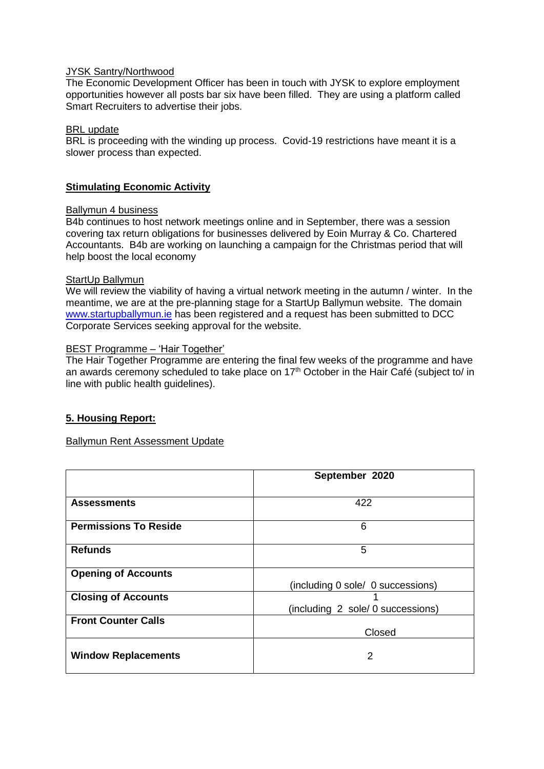## JYSK Santry/Northwood

The Economic Development Officer has been in touch with JYSK to explore employment opportunities however all posts bar six have been filled. They are using a platform called Smart Recruiters to advertise their jobs.

#### BRL update

BRL is proceeding with the winding up process. Covid-19 restrictions have meant it is a slower process than expected.

## **Stimulating Economic Activity**

#### Ballymun 4 business

B4b continues to host network meetings online and in September, there was a session covering tax return obligations for businesses delivered by Eoin Murray & Co. Chartered Accountants. B4b are working on launching a campaign for the Christmas period that will help boost the local economy

#### StartUp Ballymun

We will review the viability of having a virtual network meeting in the autumn / winter. In the meantime, we are at the pre-planning stage for a StartUp Ballymun website. The domain [www.startupballymun.ie](http://www.startupballymun.ie/) has been registered and a request has been submitted to DCC Corporate Services seeking approval for the website.

#### BEST Programme – 'Hair Together'

The Hair Together Programme are entering the final few weeks of the programme and have an awards ceremony scheduled to take place on  $17<sup>th</sup>$  October in the Hair Café (subject to/ in line with public health guidelines).

## **5. Housing Report:**

#### Ballymun Rent Assessment Update

|                              | September 2020                    |  |  |
|------------------------------|-----------------------------------|--|--|
|                              | 422                               |  |  |
| <b>Assessments</b>           |                                   |  |  |
| <b>Permissions To Reside</b> | 6                                 |  |  |
| <b>Refunds</b>               | 5                                 |  |  |
| <b>Opening of Accounts</b>   |                                   |  |  |
|                              | (including 0 sole/ 0 successions) |  |  |
| <b>Closing of Accounts</b>   |                                   |  |  |
|                              | (including 2 sole/ 0 successions) |  |  |
| <b>Front Counter Calls</b>   |                                   |  |  |
|                              | Closed                            |  |  |
| <b>Window Replacements</b>   | 2                                 |  |  |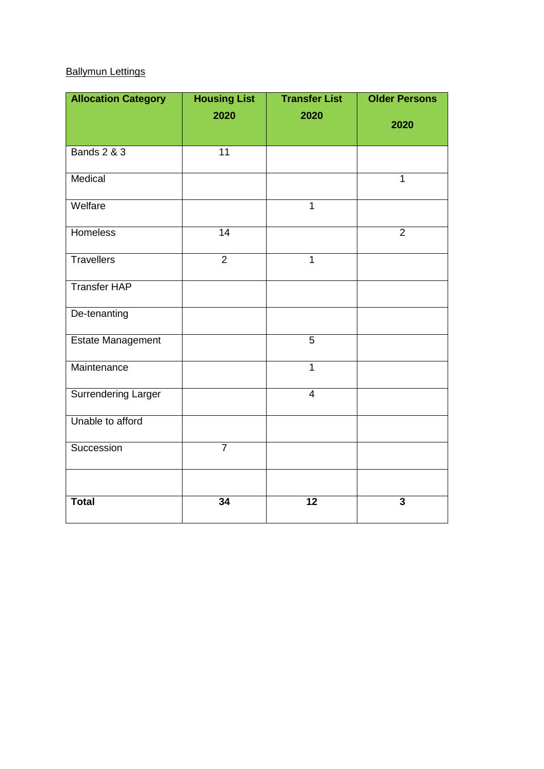# Ballymun Lettings

| <b>Allocation Category</b> | <b>Housing List</b> | <b>Transfer List</b> | <b>Older Persons</b> |
|----------------------------|---------------------|----------------------|----------------------|
|                            | 2020                | 2020                 | 2020                 |
| <b>Bands 2 &amp; 3</b>     | $\overline{11}$     |                      |                      |
| Medical                    |                     |                      | $\mathbf{1}$         |
| Welfare                    |                     | $\overline{1}$       |                      |
| <b>Homeless</b>            | 14                  |                      | $\overline{2}$       |
| <b>Travellers</b>          | $\overline{2}$      | $\overline{1}$       |                      |
| <b>Transfer HAP</b>        |                     |                      |                      |
| De-tenanting               |                     |                      |                      |
| Estate Management          |                     | $\overline{5}$       |                      |
| Maintenance                |                     | $\mathbf{1}$         |                      |
| <b>Surrendering Larger</b> |                     | $\overline{4}$       |                      |
| Unable to afford           |                     |                      |                      |
| Succession                 | $\overline{7}$      |                      |                      |
|                            |                     |                      |                      |
| <b>Total</b>               | 34                  | 12                   | $\mathbf{3}$         |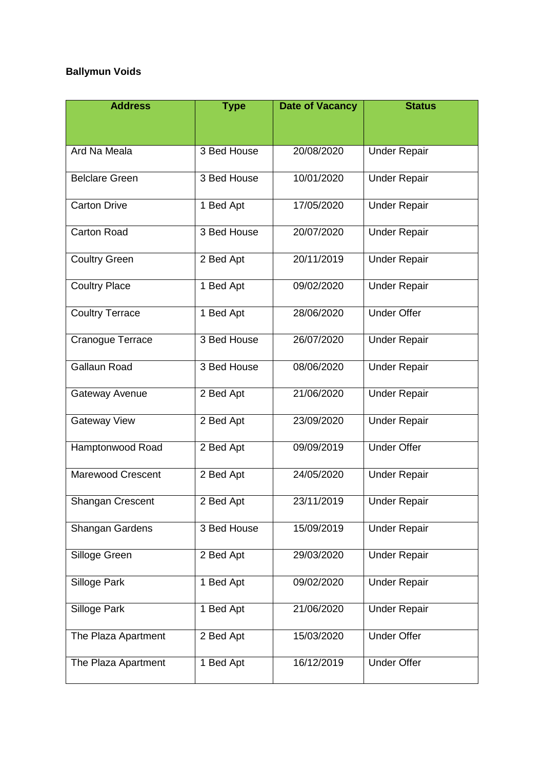# **Ballymun Voids**

| <b>Address</b>           | <b>Type</b> | <b>Date of Vacancy</b> | <b>Status</b>       |
|--------------------------|-------------|------------------------|---------------------|
|                          |             |                        |                     |
| Ard Na Meala             | 3 Bed House | 20/08/2020             | <b>Under Repair</b> |
| <b>Belclare Green</b>    | 3 Bed House | 10/01/2020             | <b>Under Repair</b> |
| <b>Carton Drive</b>      | 1 Bed Apt   | 17/05/2020             | <b>Under Repair</b> |
| <b>Carton Road</b>       | 3 Bed House | 20/07/2020             | <b>Under Repair</b> |
| <b>Coultry Green</b>     | 2 Bed Apt   | 20/11/2019             | <b>Under Repair</b> |
| <b>Coultry Place</b>     | 1 Bed Apt   | 09/02/2020             | <b>Under Repair</b> |
| <b>Coultry Terrace</b>   | 1 Bed Apt   | 28/06/2020             | <b>Under Offer</b>  |
| Cranogue Terrace         | 3 Bed House | 26/07/2020             | <b>Under Repair</b> |
| <b>Gallaun Road</b>      | 3 Bed House | 08/06/2020             | <b>Under Repair</b> |
| Gateway Avenue           | 2 Bed Apt   | 21/06/2020             | <b>Under Repair</b> |
| <b>Gateway View</b>      | 2 Bed Apt   | 23/09/2020             | <b>Under Repair</b> |
| Hamptonwood Road         | 2 Bed Apt   | 09/09/2019             | <b>Under Offer</b>  |
| <b>Marewood Crescent</b> | 2 Bed Apt   | 24/05/2020             | <b>Under Repair</b> |
| Shangan Crescent         | 2 Bed Apt   | 23/11/2019             | <b>Under Repair</b> |
| Shangan Gardens          | 3 Bed House | 15/09/2019             | <b>Under Repair</b> |
| Silloge Green            | 2 Bed Apt   | 29/03/2020             | <b>Under Repair</b> |
| Silloge Park             | 1 Bed Apt   | 09/02/2020             | <b>Under Repair</b> |
| Silloge Park             | 1 Bed Apt   | 21/06/2020             | <b>Under Repair</b> |
| The Plaza Apartment      | 2 Bed Apt   | 15/03/2020             | <b>Under Offer</b>  |
| The Plaza Apartment      | 1 Bed Apt   | 16/12/2019             | Under Offer         |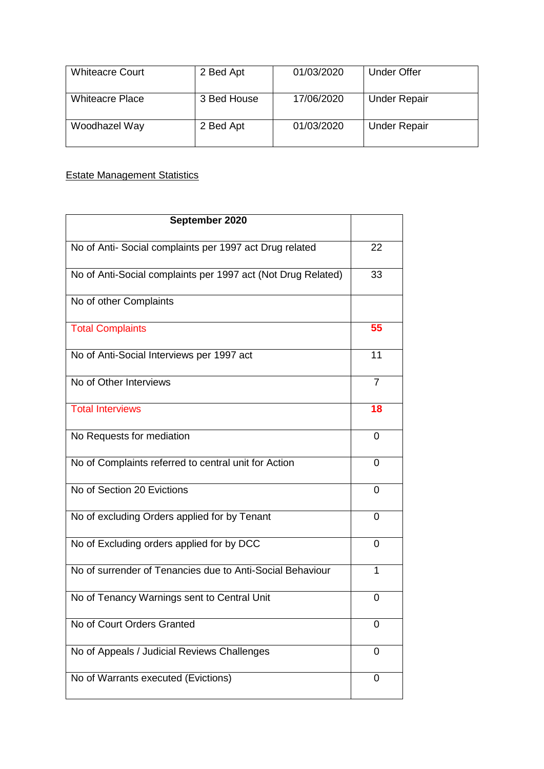| <b>Whiteacre Court</b> | 2 Bed Apt   | 01/03/2020 | Under Offer         |
|------------------------|-------------|------------|---------------------|
|                        |             |            |                     |
|                        |             |            |                     |
|                        |             |            |                     |
| <b>Whiteacre Place</b> | 3 Bed House | 17/06/2020 | <b>Under Repair</b> |
|                        |             |            |                     |
|                        |             |            |                     |
| Woodhazel Way          | 2 Bed Apt   | 01/03/2020 | <b>Under Repair</b> |
|                        |             |            |                     |
|                        |             |            |                     |
|                        |             |            |                     |

# **Estate Management Statistics**

| September 2020                                               |                |
|--------------------------------------------------------------|----------------|
| No of Anti- Social complaints per 1997 act Drug related      | 22             |
| No of Anti-Social complaints per 1997 act (Not Drug Related) | 33             |
| No of other Complaints                                       |                |
| <b>Total Complaints</b>                                      | 55             |
| No of Anti-Social Interviews per 1997 act                    | 11             |
| No of Other Interviews                                       | $\overline{7}$ |
| <b>Total Interviews</b>                                      | 18             |
| No Requests for mediation                                    | 0              |
| No of Complaints referred to central unit for Action         | 0              |
| No of Section 20 Evictions                                   | 0              |
| No of excluding Orders applied for by Tenant                 | 0              |
| No of Excluding orders applied for by DCC                    | 0              |
| No of surrender of Tenancies due to Anti-Social Behaviour    | 1              |
| No of Tenancy Warnings sent to Central Unit                  | 0              |
| No of Court Orders Granted                                   | 0              |
| No of Appeals / Judicial Reviews Challenges                  | 0              |
| No of Warrants executed (Evictions)                          | 0              |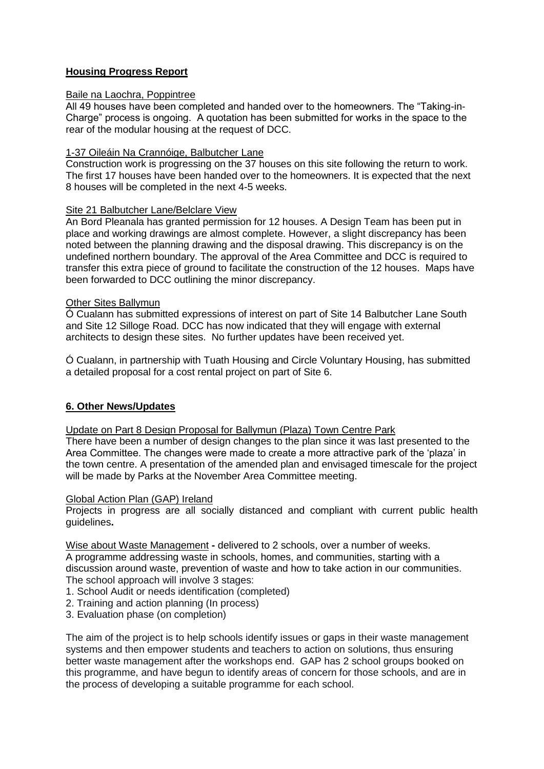## **Housing Progress Report**

## Baile na Laochra, Poppintree

All 49 houses have been completed and handed over to the homeowners. The "Taking-in-Charge" process is ongoing. A quotation has been submitted for works in the space to the rear of the modular housing at the request of DCC.

### 1-37 Oileáin Na Crannóige, Balbutcher Lane

Construction work is progressing on the 37 houses on this site following the return to work. The first 17 houses have been handed over to the homeowners. It is expected that the next 8 houses will be completed in the next 4-5 weeks.

## Site 21 Balbutcher Lane/Belclare View

An Bord Pleanala has granted permission for 12 houses. A Design Team has been put in place and working drawings are almost complete. However, a slight discrepancy has been noted between the planning drawing and the disposal drawing. This discrepancy is on the undefined northern boundary. The approval of the Area Committee and DCC is required to transfer this extra piece of ground to facilitate the construction of the 12 houses. Maps have been forwarded to DCC outlining the minor discrepancy.

## **Other Sites Ballymun**

Ó Cualann has submitted expressions of interest on part of Site 14 Balbutcher Lane South and Site 12 Silloge Road. DCC has now indicated that they will engage with external architects to design these sites. No further updates have been received yet.

Ó Cualann, in partnership with Tuath Housing and Circle Voluntary Housing, has submitted a detailed proposal for a cost rental project on part of Site 6.

## **6. Other News/Updates**

Update on Part 8 Design Proposal for Ballymun (Plaza) Town Centre Park

There have been a number of design changes to the plan since it was last presented to the Area Committee. The changes were made to create a more attractive park of the 'plaza' in the town centre. A presentation of the amended plan and envisaged timescale for the project will be made by Parks at the November Area Committee meeting.

#### Global Action Plan (GAP) Ireland

Projects in progress are all socially distanced and compliant with current public health guidelines**.**

Wise about Waste Management **-** delivered to 2 schools, over a number of weeks.

A programme addressing waste in schools, homes, and communities, starting with a discussion around waste, prevention of waste and how to take action in our communities. The school approach will involve 3 stages:

- 1. School Audit or needs identification (completed)
- 2. Training and action planning (In process)
- 3. Evaluation phase (on completion)

The aim of the project is to help schools identify issues or gaps in their waste management systems and then empower students and teachers to action on solutions, thus ensuring better waste management after the workshops end. GAP has 2 school groups booked on this programme, and have begun to identify areas of concern for those schools, and are in the process of developing a suitable programme for each school.